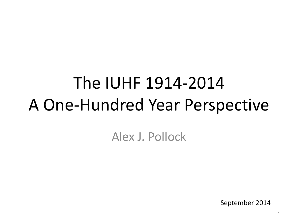# The IUHF 1914-2014 A One-Hundred Year Perspective

Alex J. Pollock

September 2014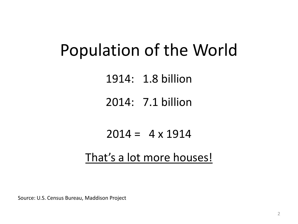## Population of the World

1914: 1.8 billion

2014: 7.1 billion

#### $2014 = 4 \times 1914$

### That's a lot more houses!

Source: U.S. Census Bureau, Maddison Project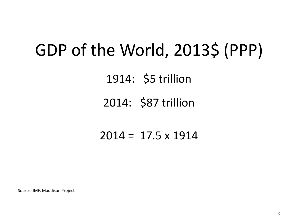## GDP of the World, 2013\$ (PPP)

1914: \$5 trillion

### 2014: \$87 trillion

#### $2014 = 17.5 \times 1914$

Source: IMF, Maddison Project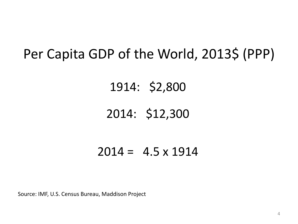### Per Capita GDP of the World, 2013\$ (PPP)

1914: \$2,800

### 2014: \$12,300

#### $2014 = 4.5 \times 1914$

Source: IMF, U.S. Census Bureau, Maddison Project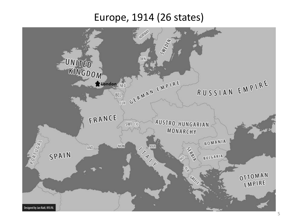#### Europe, 1914 (26 states)

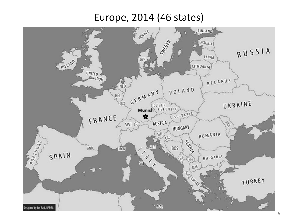#### Europe, 2014 (46 states)

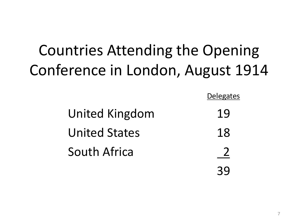## Countries Attending the Opening Conference in London, August 1914

|                      | <b>Delegates</b> |
|----------------------|------------------|
| United Kingdom       | 19               |
| <b>United States</b> | 18               |
| South Africa         |                  |
|                      |                  |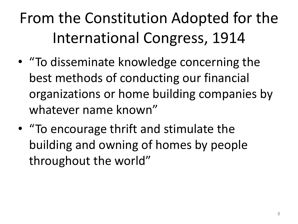## From the Constitution Adopted for the International Congress, 1914

- "To disseminate knowledge concerning the best methods of conducting our financial organizations or home building companies by whatever name known"
- "To encourage thrift and stimulate the building and owning of homes by people throughout the world"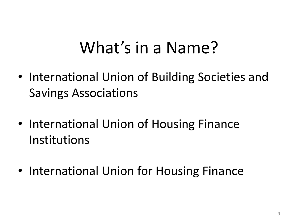## What's in a Name?

- International Union of Building Societies and Savings Associations
- International Union of Housing Finance Institutions
- International Union for Housing Finance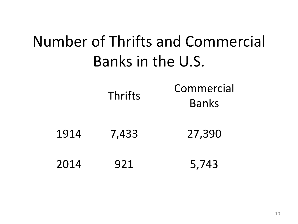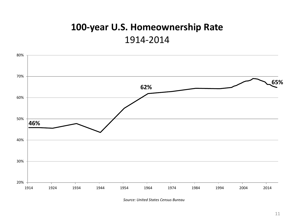#### **100-year U.S. Homeownership Rate** 1914-2014



*Source: United States Census Bureau*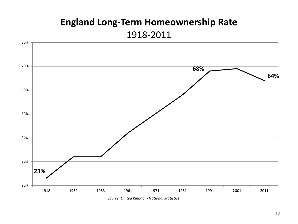#### **England Long-Term Homeownership Rate** 1918-2011

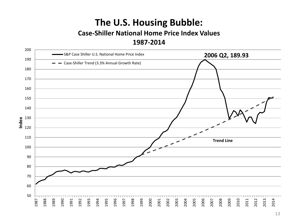#### **The U.S. Housing Bubble:**

#### **Case-Shiller National Home Price Index Values 1987-2014**

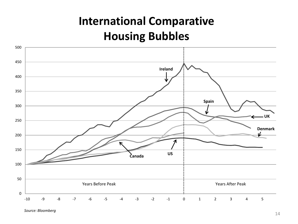### **International Comparative Housing Bubbles**



*Source: Bloomberg*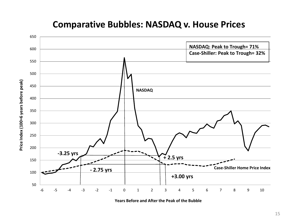

#### **Comparative Bubbles: NASDAQ v. House Prices**

**Years Before and After the Peak of the Bubble**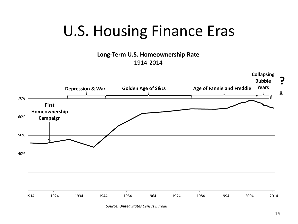### U.S. Housing Finance Eras

**Long-Term U.S. Homeownership Rate**

1914-2014



*Source: United States Census Bureau*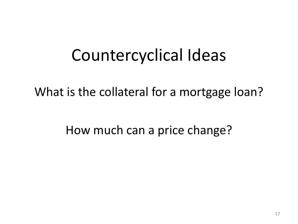## Countercyclical Ideas

What is the collateral for a mortgage loan?

How much can a price change?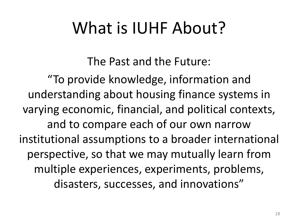## What is IUHF About?

The Past and the Future:

"To provide knowledge, information and understanding about housing finance systems in varying economic, financial, and political contexts, and to compare each of our own narrow institutional assumptions to a broader international perspective, so that we may mutually learn from multiple experiences, experiments, problems, disasters, successes, and innovations"